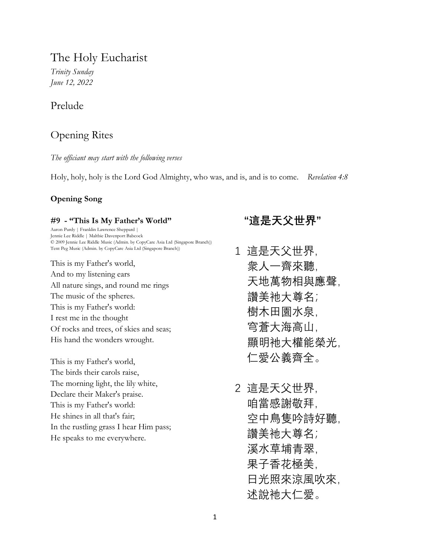# The Holy Eucharist

*Trinity Sunday June 12, 2022*

## Prelude

# Opening Rites

*The officiant may start with the following verses*

Holy, holy, holy is the Lord God Almighty, who was, and is, and is to come. *Revelation 4:8*

### **Opening Song**

#### **#9 - "This Is My Father's World"**

Aaron Purdy | Franklin Lawrence Sheppard | Jennie Lee Riddle | Maltbie Davenport Babcock © 2009 Jennie Lee Riddle Music (Admin. by CopyCare Asia Ltd (Singapore Branch)) Tent Peg Music (Admin. by CopyCare Asia Ltd (Singapore Branch))

This is my Father's world, And to my listening ears All nature sings, and round me rings The music of the spheres. This is my Father's world: I rest me in the thought Of rocks and trees, of skies and seas; His hand the wonders wrought.

This is my Father's world, The birds their carols raise, The morning light, the lily white, Declare their Maker's praise. This is my Father's world: He shines in all that's fair; In the rustling grass I hear Him pass; He speaks to me everywhere.

# **"這是天父世界"**

- 1 這是天父世界, 衆人一齊來聽, 天地萬物相與應聲, 讚美衪大尊名; 樹木田園水泉, 穹蒼大海高山, 顯明衪大權能榮光, 仁愛公義齊全。
- 2 這是天父世界, 咱當感謝敬拜, 空中鳥隻吟詩好聽, 讚美衪大尊名; 溪水草埔青翠, 果子香花極美, 日光照來涼風吹來, 述說衪大仁愛。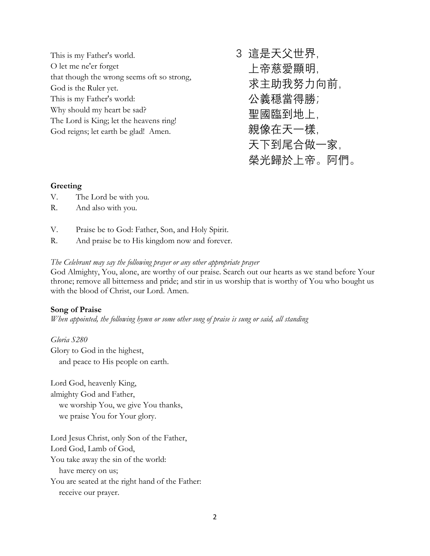This is my Father's world. O let me ne'er forget that though the wrong seems oft so strong, God is the Ruler yet. This is my Father's world: Why should my heart be sad? The Lord is King; let the heavens ring! God reigns; let earth be glad! Amen. 3 這是天父世界, 上帝慈愛顯明, 求主助我努力向前, 公義穏當得勝; 聖國臨到地上, 親像在天一樣, 天下到尾合做一家, 榮光歸於上帝。阿們。

#### **Greeting**

- V. The Lord be with you.
- R. And also with you.
- V. Praise be to God: Father, Son, and Holy Spirit.
- R. And praise be to His kingdom now and forever.

#### *The Celebrant may say the following prayer or any other appropriate prayer*

God Almighty, You, alone, are worthy of our praise. Search out our hearts as we stand before Your throne; remove all bitterness and pride; and stir in us worship that is worthy of You who bought us with the blood of Christ, our Lord. Amen.

#### **Song of Praise**

*When appointed, the following hymn or some other song of praise is sung or said, all standing*

*Gloria S280* Glory to God in the highest, and peace to His people on earth.

Lord God, heavenly King, almighty God and Father, we worship You, we give You thanks, we praise You for Your glory.

Lord Jesus Christ, only Son of the Father, Lord God, Lamb of God, You take away the sin of the world: have mercy on us; You are seated at the right hand of the Father: receive our prayer.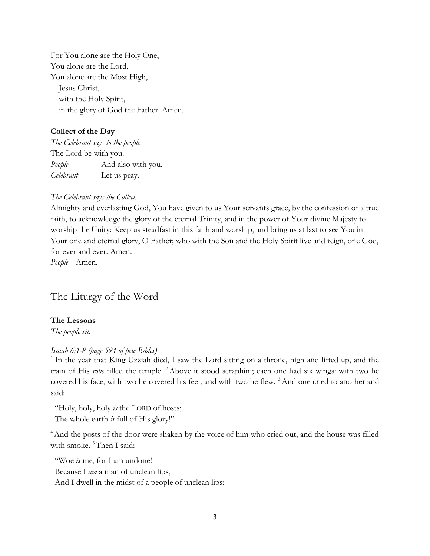For You alone are the Holy One, You alone are the Lord, You alone are the Most High, Jesus Christ, with the Holy Spirit, in the glory of God the Father. Amen.

#### **Collect of the Day**

*The Celebrant says to the people* The Lord be with you. *People* And also with you. *Celebrant* Let us pray.

#### *The Celebrant says the Collect.*

Almighty and everlasting God, You have given to us Your servants grace, by the confession of a true faith, to acknowledge the glory of the eternal Trinity, and in the power of Your divine Majesty to worship the Unity: Keep us steadfast in this faith and worship, and bring us at last to see You in Your one and eternal glory, O Father; who with the Son and the Holy Spirit live and reign, one God, for ever and ever. Amen.

*People* Amen.

## The Liturgy of the Word

#### **The Lessons**

*The people sit.* 

#### *Isaiah 6:1-8 (page 594 of pew Bibles)*

<sup>1</sup> In the year that King Uzziah died, I saw the Lord sitting on a throne, high and lifted up, and the train of His *robe* filled the temple. <sup>2</sup>Above it stood seraphim; each one had six wings: with two he covered his face, with two he covered his feet, and with two he flew. <sup>3</sup> And one cried to another and said:

 "Holy, holy, holy *is* the LORD of hosts; The whole earth *is* full of His glory!"

<sup>4</sup> And the posts of the door were shaken by the voice of him who cried out, and the house was filled with smoke.<sup>5</sup>Then I said:

 "Woe *is* me, for I am undone! Because I *am* a man of unclean lips, And I dwell in the midst of a people of unclean lips;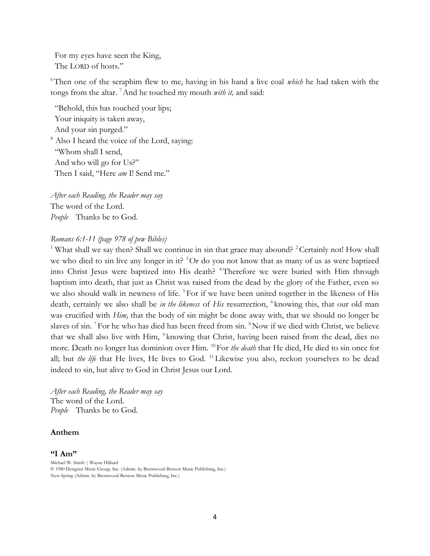For my eyes have seen the King, The LORD of hosts."

<sup>6</sup>Then one of the seraphim flew to me, having in his hand a live coal *which* he had taken with the tongs from the altar. <sup>7</sup>And he touched my mouth *with it,* and said:

 "Behold, this has touched your lips; Your iniquity is taken away, And your sin purged." <sup>8</sup> Also I heard the voice of the Lord, saying: "Whom shall I send, And who will go for Us?" Then I said, "Here *am* I! Send me."

*After each Reading, the Reader may say* The word of the Lord. *People* Thanks be to God.

#### *Romans 6:1-11 (page 978 of pew Bibles)*

<sup>1</sup> What shall we say then? Shall we continue in sin that grace may abound? <sup>2</sup> Certainly not! How shall we who died to sin live any longer in it?  ${}^{3}$ Or do you not know that as many of us as were baptized into Christ Jesus were baptized into His death? <sup>4</sup>Therefore we were buried with Him through baptism into death, that just as Christ was raised from the dead by the glory of the Father, even so we also should walk in newness of life. <sup>5</sup> For if we have been united together in the likeness of His death, certainly we also shall be *in the likeness* of *His* resurrection, <sup>6</sup> knowing this, that our old man was crucified with *Him,* that the body of sin might be done away with, that we should no longer be slaves of sin. <sup>7</sup> For he who has died has been freed from sin. <sup>8</sup> Now if we died with Christ, we believe that we shall also live with Him, <sup>9</sup> knowing that Christ, having been raised from the dead, dies no more. Death no longer has dominion over Him. <sup>10</sup> For *the death* that He died, He died to sin once for all; but *the life* that He lives, He lives to God. <sup>11</sup> Likewise you also, reckon yourselves to be dead indeed to sin, but alive to God in Christ Jesus our Lord.

*After each Reading, the Reader may say* The word of the Lord. *People* Thanks be to God.

#### **Anthem**

#### **"I Am"**

Michael W. Smith | Wayne Hilliard © 1980 Designer Music Group, Inc. (Admin. by Brentwood-Benson Music Publishing, Inc.) New Spring (Admin. by Brentwood-Benson Music Publishing, Inc.)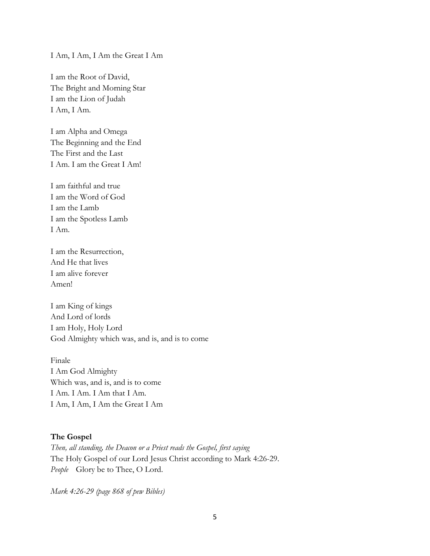I Am, I Am, I Am the Great I Am

I am the Root of David, The Bright and Morning Star I am the Lion of Judah I Am, I Am.

I am Alpha and Omega The Beginning and the End The First and the Last I Am. I am the Great I Am!

I am faithful and true I am the Word of God I am the Lamb I am the Spotless Lamb I Am.

I am the Resurrection, And He that lives I am alive forever Amen!

I am King of kings And Lord of lords I am Holy, Holy Lord God Almighty which was, and is, and is to come

Finale I Am God Almighty Which was, and is, and is to come I Am. I Am. I Am that I Am. I Am, I Am, I Am the Great I Am

#### **The Gospel**

*Then, all standing, the Deacon or a Priest reads the Gospel, first saying* The Holy Gospel of our Lord Jesus Christ according to Mark 4:26-29. *People* Glory be to Thee, O Lord.

*Mark 4:26-29 (page 868 of pew Bibles)*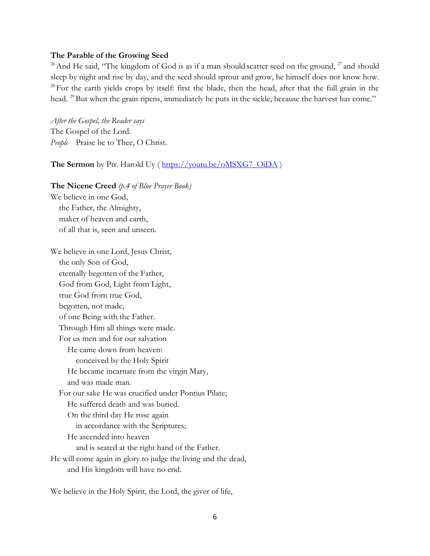#### **The Parable of the Growing Seed**

<sup>26</sup> And He said, "The kingdom of God is as if a man should scatter seed on the ground,  $^{27}$  and should sleep by night and rise by day, and the seed should sprout and grow, he himself does not know how. <sup>28</sup> For the earth yields crops by itself: first the blade, then the head, after that the full grain in the head. <sup>29</sup> But when the grain ripens, immediately he puts in the sickle, because the harvest has come."

*After the Gospel, the Reader says* The Gospel of the Lord. People Praise be to Thee, O Christ.

**The Sermon** by Ptr. Harold Uy ( [https://youtu.be/oMSXG7\\_OiDA](https://youtu.be/oMSXG7_OiDA) )

#### **The Nicene Creed** *(p.4 of Blue Prayer Book)*

We believe in one God, the Father, the Almighty, maker of heaven and earth, of all that is, seen and unseen.

We believe in one Lord, Jesus Christ, the only Son of God, eternally begotten of the Father, God from God, Light from Light, true God from true God, begotten, not made, of one Being with the Father. Through Him all things were made. For us men and for our salvation He came down from heaven: conceived by the Holy Spirit He became incarnate from the virgin Mary, and was made man. For our sake He was crucified under Pontius Pilate; He suffered death and was buried. On the third day He rose again in accordance with the Scriptures; He ascended into heaven and is seated at the right hand of the Father. He will come again in glory to judge the living and the dead, and His kingdom will have no end.

We believe in the Holy Spirit, the Lord, the giver of life,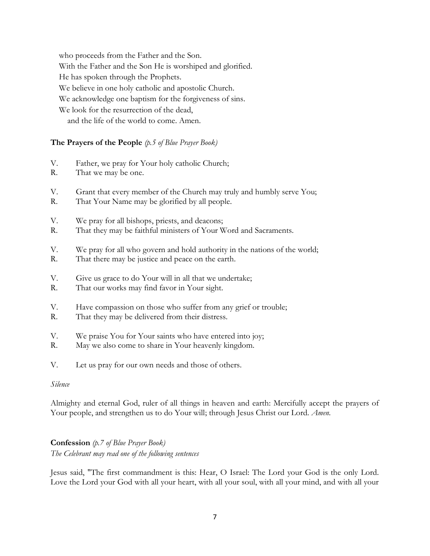who proceeds from the Father and the Son. With the Father and the Son He is worshiped and glorified. He has spoken through the Prophets. We believe in one holy catholic and apostolic Church. We acknowledge one baptism for the forgiveness of sins. We look for the resurrection of the dead, and the life of the world to come. Amen.

#### **The Prayers of the People** *(p.5 of Blue Prayer Book)*

- V. Father, we pray for Your holy catholic Church;
- R. That we may be one.
- V. Grant that every member of the Church may truly and humbly serve You;
- R. That Your Name may be glorified by all people.
- V. We pray for all bishops, priests, and deacons;
- R. That they may be faithful ministers of Your Word and Sacraments.
- V. We pray for all who govern and hold authority in the nations of the world;
- R. That there may be justice and peace on the earth.
- V. Give us grace to do Your will in all that we undertake;
- R. That our works may find favor in Your sight.
- V. Have compassion on those who suffer from any grief or trouble;
- R. That they may be delivered from their distress.
- V. We praise You for Your saints who have entered into joy;
- R. May we also come to share in Your heavenly kingdom.
- V. Let us pray for our own needs and those of others.

#### *Silence*

Almighty and eternal God, ruler of all things in heaven and earth: Mercifully accept the prayers of Your people, and strengthen us to do Your will; through Jesus Christ our Lord. *Amen.*

### **Confession** *(p.7 of Blue Prayer Book) The Celebrant may read one of the following sentences*

Jesus said, "The first commandment is this: Hear, O Israel: The Lord your God is the only Lord. Love the Lord your God with all your heart, with all your soul, with all your mind, and with all your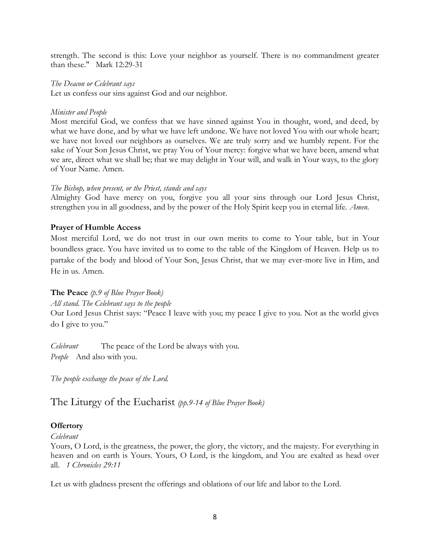strength. The second is this: Love your neighbor as yourself. There is no commandment greater than these." Mark 12:29-31

#### *The Deacon or Celebrant says*

Let us confess our sins against God and our neighbor.

#### *Minister and People*

Most merciful God, we confess that we have sinned against You in thought, word, and deed, by what we have done, and by what we have left undone. We have not loved You with our whole heart; we have not loved our neighbors as ourselves. We are truly sorry and we humbly repent. For the sake of Your Son Jesus Christ, we pray You of Your mercy: forgive what we have been, amend what we are, direct what we shall be; that we may delight in Your will, and walk in Your ways, to the glory of Your Name. Amen.

### *The Bishop, when present, or the Priest, stands and says*

Almighty God have mercy on you, forgive you all your sins through our Lord Jesus Christ, strengthen you in all goodness, and by the power of the Holy Spirit keep you in eternal life. *Amen.*

### **Prayer of Humble Access**

Most merciful Lord, we do not trust in our own merits to come to Your table, but in Your boundless grace. You have invited us to come to the table of the Kingdom of Heaven. Help us to partake of the body and blood of Your Son, Jesus Christ, that we may ever-more live in Him, and He in us. Amen.

### **The Peace** *(p.9 of Blue Prayer Book)*

*All stand. The Celebrant says to the people*

Our Lord Jesus Christ says: "Peace I leave with you; my peace I give to you. Not as the world gives do I give to you."

*Celebrant* The peace of the Lord be always with you. *People* And also with you.

*The people exchange the peace of the Lord.*

The Liturgy of the Eucharist *(pp.9-14 of Blue Prayer Book)*

### **Offertory**

### *Celebrant*

Yours, O Lord, is the greatness, the power, the glory, the victory, and the majesty. For everything in heaven and on earth is Yours. Yours, O Lord, is the kingdom, and You are exalted as head over all. *1 Chronicles 29:11*

Let us with gladness present the offerings and oblations of our life and labor to the Lord.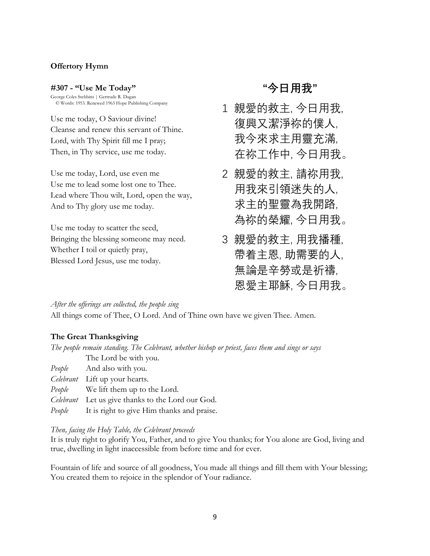### **Offertory Hymn**

#### **#307 - "Use Me Today"**

George Coles Stebbins | Gertrude R. Dugan © Words: 1953. Renewed 1963 Hope Publishing Company

Use me today, O Saviour divine! Cleanse and renew this servant of Thine. Lord, with Thy Spirit fill me I pray; Then, in Thy service, use me today.

Use me today, Lord, use even me Use me to lead some lost one to Thee. Lead where Thou wilt, Lord, open the way, And to Thy glory use me today.

Use me today to scatter the seed, Bringing the blessing someone may need. Whether I toil or quietly pray, Blessed Lord Jesus, use me today.

## **"今日用我"**

- 1 親愛的救主, 今日用我, 復興又潔淨祢的僕人, 我今來求主用靈充滿, 在祢工作中, 今日用我。
- 2 親愛的救主, 請祢用我, 用我來引領迷失的人, 求主的聖靈為我開路, 為祢的榮耀, 今日用我。
- 3 親愛的救主, 用我播種, 帶着主恩, 助需要的人, 無論是辛勞或是祈禱, 恩愛主耶穌, 今日用我。

*After the offerings are collected, the people sing*

All things come of Thee, O Lord. And of Thine own have we given Thee. Amen.

#### **The Great Thanksgiving**

*The people remain standing. The Celebrant, whether bishop or priest, faces them and sings or says* The Lord be with you.

- *People* And also with you.
- *Celebrant* Lift up your hearts.
- *People* We lift them up to the Lord.

*Celebrant* Let us give thanks to the Lord our God.

*People* It is right to give Him thanks and praise.

#### *Then, facing the Holy Table, the Celebrant proceeds*

It is truly right to glorify You, Father, and to give You thanks; for You alone are God, living and true, dwelling in light inaccessible from before time and for ever.

Fountain of life and source of all goodness, You made all things and fill them with Your blessing; You created them to rejoice in the splendor of Your radiance.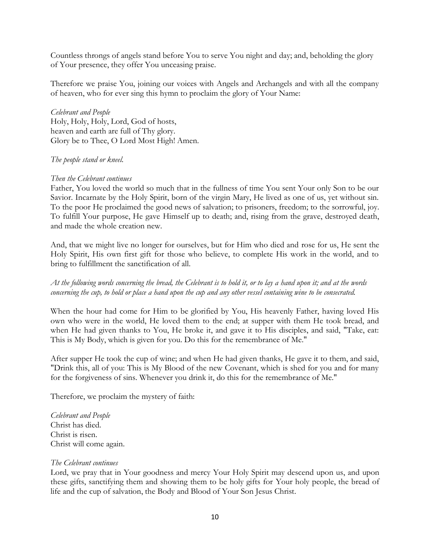Countless throngs of angels stand before You to serve You night and day; and, beholding the glory of Your presence, they offer You unceasing praise.

Therefore we praise You, joining our voices with Angels and Archangels and with all the company of heaven, who for ever sing this hymn to proclaim the glory of Your Name:

*Celebrant and People* Holy, Holy, Holy, Lord, God of hosts, heaven and earth are full of Thy glory. Glory be to Thee, O Lord Most High! Amen.

#### *The people stand or kneel.*

#### *Then the Celebrant continues*

Father, You loved the world so much that in the fullness of time You sent Your only Son to be our Savior. Incarnate by the Holy Spirit, born of the virgin Mary, He lived as one of us, yet without sin. To the poor He proclaimed the good news of salvation; to prisoners, freedom; to the sorrowful, joy. To fulfill Your purpose, He gave Himself up to death; and, rising from the grave, destroyed death, and made the whole creation new.

And, that we might live no longer for ourselves, but for Him who died and rose for us, He sent the Holy Spirit, His own first gift for those who believe, to complete His work in the world, and to bring to fulfillment the sanctification of all.

*At the following words concerning the bread, the Celebrant is to hold it, or to lay a hand upon it; and at the words concerning the cup, to hold or place a hand upon the cup and any other vessel containing wine to be consecrated.*

When the hour had come for Him to be glorified by You, His heavenly Father, having loved His own who were in the world, He loved them to the end; at supper with them He took bread, and when He had given thanks to You, He broke it, and gave it to His disciples, and said, "Take, eat: This is My Body, which is given for you. Do this for the remembrance of Me."

After supper He took the cup of wine; and when He had given thanks, He gave it to them, and said, "Drink this, all of you: This is My Blood of the new Covenant, which is shed for you and for many for the forgiveness of sins. Whenever you drink it, do this for the remembrance of Me."

Therefore, we proclaim the mystery of faith:

*Celebrant and People* Christ has died. Christ is risen. Christ will come again.

#### *The Celebrant continues*

Lord, we pray that in Your goodness and mercy Your Holy Spirit may descend upon us, and upon these gifts, sanctifying them and showing them to be holy gifts for Your holy people, the bread of life and the cup of salvation, the Body and Blood of Your Son Jesus Christ.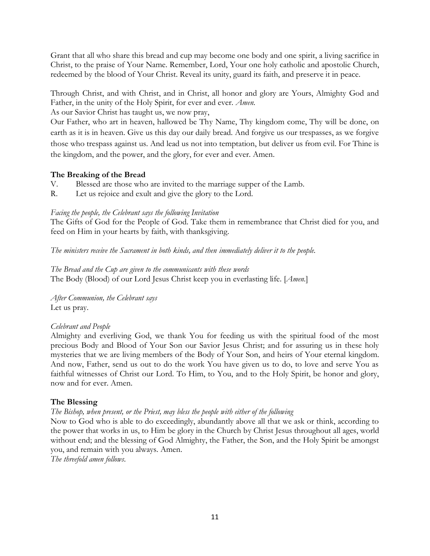Grant that all who share this bread and cup may become one body and one spirit, a living sacrifice in Christ, to the praise of Your Name. Remember, Lord, Your one holy catholic and apostolic Church, redeemed by the blood of Your Christ. Reveal its unity, guard its faith, and preserve it in peace.

Through Christ, and with Christ, and in Christ, all honor and glory are Yours, Almighty God and Father, in the unity of the Holy Spirit, for ever and ever. *Amen.*

As our Savior Christ has taught us, we now pray,

Our Father, who art in heaven, hallowed be Thy Name, Thy kingdom come, Thy will be done, on earth as it is in heaven. Give us this day our daily bread. And forgive us our trespasses, as we forgive those who trespass against us. And lead us not into temptation, but deliver us from evil. For Thine is the kingdom, and the power, and the glory, for ever and ever. Amen.

### **The Breaking of the Bread**

- V. Blessed are those who are invited to the marriage supper of the Lamb.
- R. Let us rejoice and exult and give the glory to the Lord.

### *Facing the people, the Celebrant says the following Invitation*

The Gifts of God for the People of God. Take them in remembrance that Christ died for you, and feed on Him in your hearts by faith, with thanksgiving.

*The ministers receive the Sacrament in both kinds, and then immediately deliver it to the people.*

*The Bread and the Cup are given to the communicants with these words* The Body (Blood) of our Lord Jesus Christ keep you in everlasting life. [*Amen.*]

*After Communion, the Celebrant says* Let us pray.

### *Celebrant and People*

Almighty and everliving God, we thank You for feeding us with the spiritual food of the most precious Body and Blood of Your Son our Savior Jesus Christ; and for assuring us in these holy mysteries that we are living members of the Body of Your Son, and heirs of Your eternal kingdom. And now, Father, send us out to do the work You have given us to do, to love and serve You as faithful witnesses of Christ our Lord. To Him, to You, and to the Holy Spirit, be honor and glory, now and for ever. Amen.

### **The Blessing**

*The Bishop, when present, or the Priest, may bless the people with either of the following*

Now to God who is able to do exceedingly, abundantly above all that we ask or think, according to the power that works in us, to Him be glory in the Church by Christ Jesus throughout all ages, world without end; and the blessing of God Almighty, the Father, the Son, and the Holy Spirit be amongst you, and remain with you always. Amen.

*The threefold amen follows.*